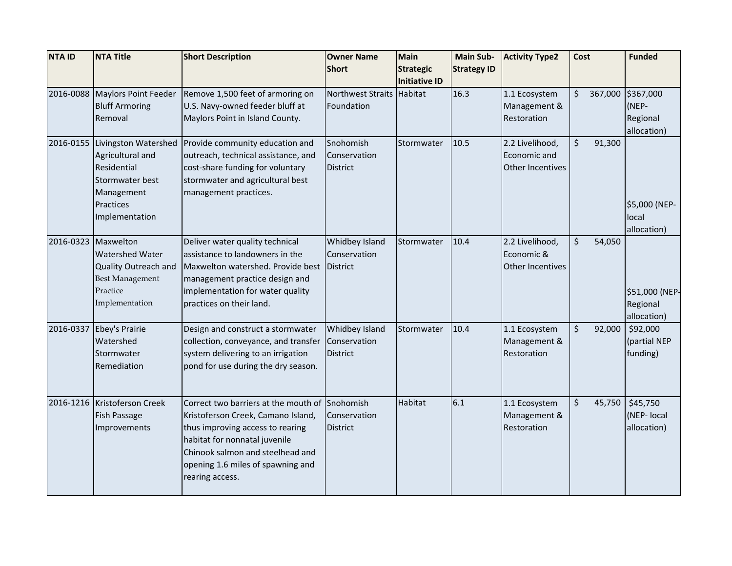| <b>NTA ID</b> | <b>NTA Title</b>                         | <b>Short Description</b>                                                  | <b>Owner Name</b>         | <b>Main</b>          | <b>Main Sub-</b>   | <b>Activity Type2</b>           | Cost    |         | <b>Funded</b>  |
|---------------|------------------------------------------|---------------------------------------------------------------------------|---------------------------|----------------------|--------------------|---------------------------------|---------|---------|----------------|
|               |                                          |                                                                           | <b>Short</b>              | <b>Strategic</b>     | <b>Strategy ID</b> |                                 |         |         |                |
|               |                                          |                                                                           |                           | <b>Initiative ID</b> |                    |                                 |         |         |                |
| 2016-0088     | <b>Maylors Point Feeder</b>              | Remove 1,500 feet of armoring on                                          | Northwest Straits         | Habitat              | 16.3               | 1.1 Ecosystem                   | \$      | 367,000 | \$367,000      |
|               | <b>Bluff Armoring</b>                    | U.S. Navy-owned feeder bluff at                                           | Foundation                |                      |                    | Management &                    |         |         | (NEP-          |
|               | Removal                                  | Maylors Point in Island County.                                           |                           |                      |                    | Restoration                     |         |         | Regional       |
|               |                                          |                                                                           |                           |                      |                    |                                 | \$      |         | allocation)    |
| 2016-0155     | Livingston Watershed<br>Agricultural and | Provide community education and<br>outreach, technical assistance, and    | Snohomish<br>Conservation | Stormwater           | 10.5               | 2.2 Livelihood,<br>Economic and |         | 91,300  |                |
|               | Residential                              | cost-share funding for voluntary                                          | <b>District</b>           |                      |                    | Other Incentives                |         |         |                |
|               | Stormwater best                          | stormwater and agricultural best                                          |                           |                      |                    |                                 |         |         |                |
|               | Management                               | management practices.                                                     |                           |                      |                    |                                 |         |         |                |
|               | Practices                                |                                                                           |                           |                      |                    |                                 |         |         | \$5,000 (NEP-  |
|               | Implementation                           |                                                                           |                           |                      |                    |                                 |         |         | local          |
|               |                                          |                                                                           |                           |                      |                    |                                 |         |         | allocation)    |
| 2016-0323     | Maxwelton                                | Deliver water quality technical                                           | Whidbey Island            | Stormwater           | 10.4               | 2.2 Livelihood,                 | \$      | 54,050  |                |
|               | Watershed Water                          | assistance to landowners in the                                           | Conservation              |                      |                    | Economic &                      |         |         |                |
|               | Quality Outreach and                     | Maxwelton watershed. Provide best                                         | <b>District</b>           |                      |                    | Other Incentives                |         |         |                |
|               | <b>Best Management</b>                   | management practice design and                                            |                           |                      |                    |                                 |         |         |                |
|               | Practice                                 | implementation for water quality                                          |                           |                      |                    |                                 |         |         | \$51,000 (NEP- |
|               | Implementation                           | practices on their land.                                                  |                           |                      |                    |                                 |         |         | Regional       |
|               |                                          |                                                                           |                           |                      |                    |                                 |         |         | allocation)    |
| 2016-0337     | Ebey's Prairie                           | Design and construct a stormwater                                         | Whidbey Island            | Stormwater           | 10.4               | 1.1 Ecosystem                   | $\zeta$ | 92,000  | \$92,000       |
|               | Watershed                                | collection, conveyance, and transfer                                      | Conservation              |                      |                    | Management &                    |         |         | (partial NEP   |
|               | Stormwater<br>Remediation                | system delivering to an irrigation<br>pond for use during the dry season. | <b>District</b>           |                      |                    | Restoration                     |         |         | funding)       |
|               |                                          |                                                                           |                           |                      |                    |                                 |         |         |                |
|               |                                          |                                                                           |                           |                      |                    |                                 |         |         |                |
| 2016-1216     | Kristoferson Creek                       | Correct two barriers at the mouth of                                      | Snohomish                 | Habitat              | 6.1                | 1.1 Ecosystem                   | \$      | 45,750  | \$45,750       |
|               | Fish Passage                             | Kristoferson Creek, Camano Island,                                        | Conservation              |                      |                    | Management &                    |         |         | (NEP- local    |
|               | Improvements                             | thus improving access to rearing                                          | <b>District</b>           |                      |                    | Restoration                     |         |         | allocation)    |
|               |                                          | habitat for nonnatal juvenile                                             |                           |                      |                    |                                 |         |         |                |
|               |                                          | Chinook salmon and steelhead and                                          |                           |                      |                    |                                 |         |         |                |
|               |                                          | opening 1.6 miles of spawning and                                         |                           |                      |                    |                                 |         |         |                |
|               |                                          | rearing access.                                                           |                           |                      |                    |                                 |         |         |                |
|               |                                          |                                                                           |                           |                      |                    |                                 |         |         |                |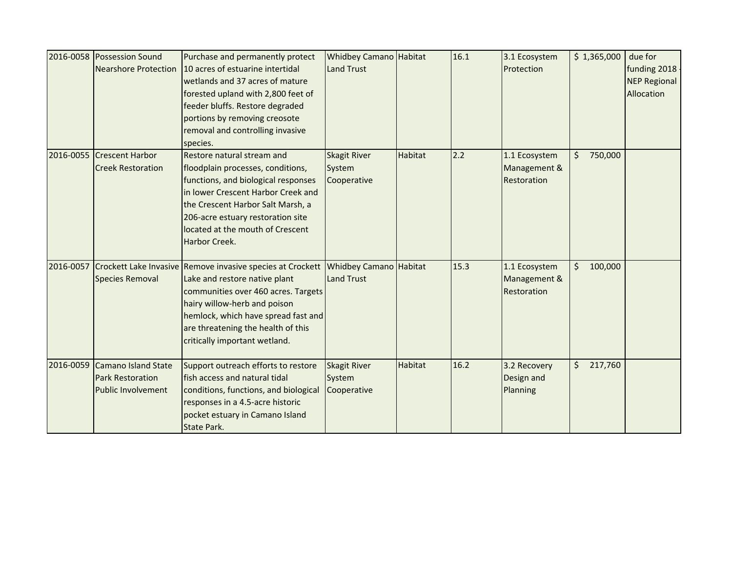|           | 2016-0058 Possession Sound<br><b>Nearshore Protection</b>                   | Purchase and permanently protect<br>10 acres of estuarine intertidal<br>wetlands and 37 acres of mature<br>forested upland with 2,800 feet of<br>feeder bluffs. Restore degraded<br>portions by removing creosote<br>removal and controlling invasive<br>species.                | <b>Whidbey Camano Habitat</b><br>Land Trust  |                | 16.1 | 3.1 Ecosystem<br>Protection                  | \$1,365,000        | due for<br>funding 2018<br><b>NEP Regional</b><br>Allocation |
|-----------|-----------------------------------------------------------------------------|----------------------------------------------------------------------------------------------------------------------------------------------------------------------------------------------------------------------------------------------------------------------------------|----------------------------------------------|----------------|------|----------------------------------------------|--------------------|--------------------------------------------------------------|
| 2016-0055 | <b>Crescent Harbor</b><br><b>Creek Restoration</b>                          | Restore natural stream and<br>floodplain processes, conditions,<br>functions, and biological responses<br>in lower Crescent Harbor Creek and<br>the Crescent Harbor Salt Marsh, a<br>206-acre estuary restoration site<br>located at the mouth of Crescent<br>Harbor Creek.      | <b>Skagit River</b><br>System<br>Cooperative | <b>Habitat</b> | 2.2  | 1.1 Ecosystem<br>Management &<br>Restoration | 750,000<br>Ś.      |                                                              |
| 2016-0057 | <b>Species Removal</b>                                                      | Crockett Lake Invasive Remove invasive species at Crockett<br>Lake and restore native plant<br>communities over 460 acres. Targets<br>hairy willow-herb and poison<br>hemlock, which have spread fast and<br>are threatening the health of this<br>critically important wetland. | Whidbey Camano Habitat<br><b>Land Trust</b>  |                | 15.3 | 1.1 Ecosystem<br>Management &<br>Restoration | \$<br>100,000      |                                                              |
| 2016-0059 | Camano Island State<br><b>Park Restoration</b><br><b>Public Involvement</b> | Support outreach efforts to restore<br>fish access and natural tidal<br>conditions, functions, and biological<br>responses in a 4.5-acre historic<br>pocket estuary in Camano Island<br><b>State Park.</b>                                                                       | <b>Skagit River</b><br>System<br>Cooperative | <b>Habitat</b> | 16.2 | 3.2 Recovery<br>Design and<br>Planning       | 217,760<br>$\zeta$ |                                                              |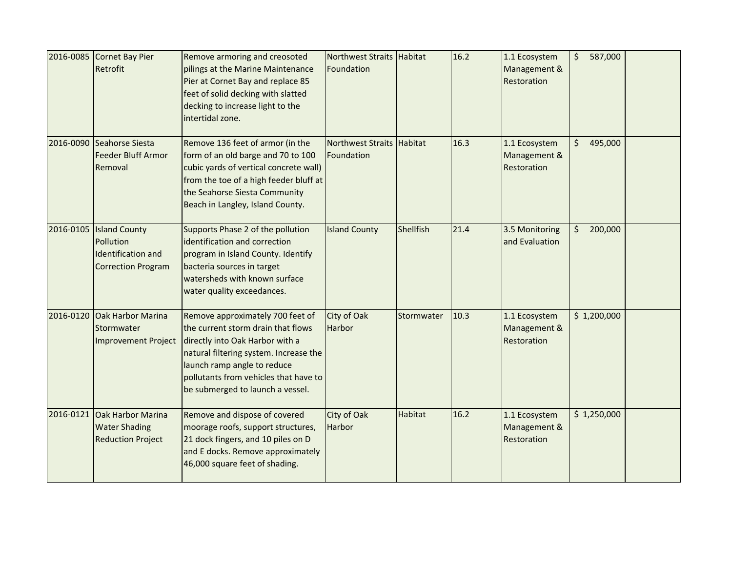|           | 2016-0085 Cornet Bay Pier<br>Retrofit                                                   | Remove armoring and creosoted<br>pilings at the Marine Maintenance<br>Pier at Cornet Bay and replace 85<br>feet of solid decking with slatted<br>decking to increase light to the<br>intertidal zone.                                                           | Northwest Straits Habitat<br>Foundation |                | 16.2 | 1.1 Ecosystem<br>Management &<br>Restoration | $\zeta$<br>587,000 |  |
|-----------|-----------------------------------------------------------------------------------------|-----------------------------------------------------------------------------------------------------------------------------------------------------------------------------------------------------------------------------------------------------------------|-----------------------------------------|----------------|------|----------------------------------------------|--------------------|--|
| 2016-0090 | Seahorse Siesta<br><b>Feeder Bluff Armor</b><br>Removal                                 | Remove 136 feet of armor (in the<br>form of an old barge and 70 to 100<br>cubic yards of vertical concrete wall)<br>from the toe of a high feeder bluff at<br>the Seahorse Siesta Community<br>Beach in Langley, Island County.                                 | <b>Northwest Straits</b><br>Foundation  | <b>Habitat</b> | 16.3 | 1.1 Ecosystem<br>Management &<br>Restoration | 495,000<br>\$      |  |
|           | 2016-0105 Island County<br>Pollution<br>Identification and<br><b>Correction Program</b> | Supports Phase 2 of the pollution<br>identification and correction<br>program in Island County. Identify<br>bacteria sources in target<br>watersheds with known surface<br>water quality exceedances.                                                           | <b>Island County</b>                    | Shellfish      | 21.4 | 3.5 Monitoring<br>and Evaluation             | \$200,000          |  |
| 2016-0120 | Oak Harbor Marina<br>Stormwater<br><b>Improvement Project</b>                           | Remove approximately 700 feet of<br>the current storm drain that flows<br>directly into Oak Harbor with a<br>natural filtering system. Increase the<br>launch ramp angle to reduce<br>pollutants from vehicles that have to<br>be submerged to launch a vessel. | City of Oak<br><b>Harbor</b>            | Stormwater     | 10.3 | 1.1 Ecosystem<br>Management &<br>Restoration | \$1,200,000        |  |
| 2016-0121 | Oak Harbor Marina<br><b>Water Shading</b><br><b>Reduction Project</b>                   | Remove and dispose of covered<br>moorage roofs, support structures,<br>21 dock fingers, and 10 piles on D<br>and E docks. Remove approximately<br>46,000 square feet of shading.                                                                                | City of Oak<br><b>Harbor</b>            | <b>Habitat</b> | 16.2 | 1.1 Ecosystem<br>Management &<br>Restoration | \$1,250,000        |  |